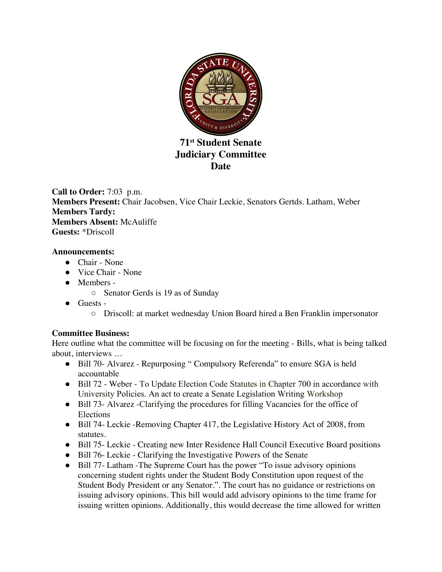

**71st Student Senate Judiciary Committee Date** 

**Call to Order:** 7:03 p.m. **Members Present:** Chair Jacobsen, Vice Chair Leckie, Senators Gertds. Latham, Weber **Members Tardy: Members Absent:** McAuliffe **Guests:** \*Driscoll

### **Announcements:**

- Chair None
- Vice Chair None
- Members
	- Senator Gerds is 19 as of Sunday
- Guests
	- Driscoll: at market wednesday Union Board hired a Ben Franklin impersonator

### **Committee Business:**

Here outline what the committee will be focusing on for the meeting - Bills, what is being talked about, interviews …

- Bill 70- Alvarez Repurposing " Compulsory Referenda" to ensure SGA is held accountable
- Bill 72 Weber To Update Election Code Statutes in Chapter 700 in accordance with University Policies. An act to create a Senate Legislation Writing Workshop
- Bill 73- Alvarez -Clarifying the procedures for filling Vacancies for the office of Elections
- Bill 74- Leckie -Removing Chapter 417, the Legislative History Act of 2008, from statutes.
- Bill 75- Leckie Creating new Inter Residence Hall Council Executive Board positions
- Bill 76- Leckie Clarifying the Investigative Powers of the Senate
- Bill 77- Latham -The Supreme Court has the power "To issue advisory opinions concerning student rights under the Student Body Constitution upon request of the Student Body President or any Senator.". The court has no guidance or restrictions on issuing advisory opinions. This bill would add advisory opinions to the time frame for issuing written opinions. Additionally, this would decrease the time allowed for written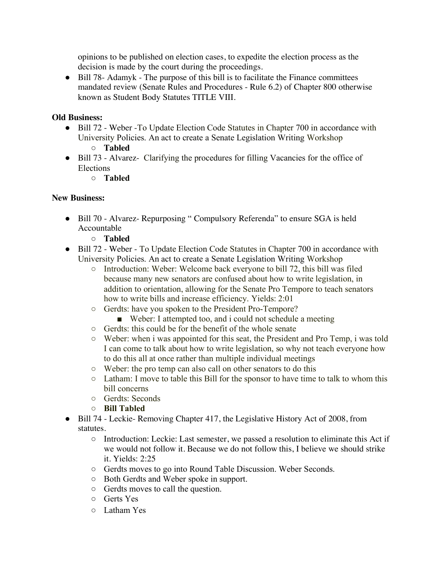opinions to be published on election cases, to expedite the election process as the decision is made by the court during the proceedings.

● Bill 78- Adamyk - The purpose of this bill is to facilitate the Finance committees mandated review (Senate Rules and Procedures - Rule 6.2) of Chapter 800 otherwise known as Student Body Statutes TITLE VIII.

# **Old Business:**

- Bill 72 Weber -To Update Election Code Statutes in Chapter 700 in accordance with University Policies. An act to create a Senate Legislation Writing Workshop ○ **Tabled**
	-
- Bill 73 Alvarez- Clarifying the procedures for filling Vacancies for the office of Elections
	- **Tabled**

# **New Business:**

- Bill 70 Alvarez- Repurposing " Compulsory Referenda" to ensure SGA is held Accountable
	- **Tabled**
- Bill 72 Weber To Update Election Code Statutes in Chapter 700 in accordance with University Policies. An act to create a Senate Legislation Writing Workshop
	- Introduction: Weber: Welcome back everyone to bill 72, this bill was filed because many new senators are confused about how to write legislation, in addition to orientation, allowing for the Senate Pro Tempore to teach senators how to write bills and increase efficiency. Yields: 2:01
	- Gerdts: have you spoken to the President Pro-Tempore?
		- Weber: I attempted too, and i could not schedule a meeting
	- Gerdts: this could be for the benefit of the whole senate
	- Weber: when i was appointed for this seat, the President and Pro Temp, i was told I can come to talk about how to write legislation, so why not teach everyone how to do this all at once rather than multiple individual meetings
	- Weber: the pro temp can also call on other senators to do this
	- Latham: I move to table this Bill for the sponsor to have time to talk to whom this bill concerns
	- Gerdts: Seconds
	- **Bill Tabled**
- Bill 74 Leckie- Removing Chapter 417, the Legislative History Act of 2008, from statutes.
	- Introduction: Leckie: Last semester, we passed a resolution to eliminate this Act if we would not follow it. Because we do not follow this, I believe we should strike it. Yields: 2:25
	- Gerdts moves to go into Round Table Discussion. Weber Seconds.
	- Both Gerdts and Weber spoke in support.
	- Gerdts moves to call the question.
	- Gerts Yes
	- Latham Yes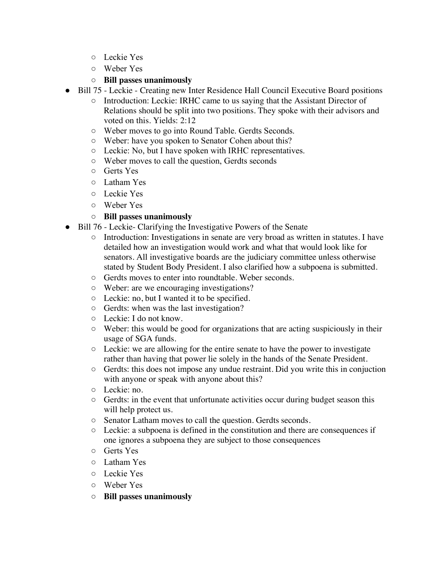- Leckie Yes
- Weber Yes
- **Bill passes unanimously**
- Bill 75 Leckie Creating new Inter Residence Hall Council Executive Board positions
	- Introduction: Leckie: IRHC came to us saying that the Assistant Director of Relations should be split into two positions. They spoke with their advisors and voted on this. Yields: 2:12
	- Weber moves to go into Round Table. Gerdts Seconds.
	- Weber: have you spoken to Senator Cohen about this?
	- Leckie: No, but I have spoken with IRHC representatives.
	- Weber moves to call the question, Gerdts seconds
	- Gerts Yes
	- Latham Yes
	- Leckie Yes
	- Weber Yes

# ○ **Bill passes unanimously**

- Bill 76 Leckie- Clarifying the Investigative Powers of the Senate
	- Introduction: Investigations in senate are very broad as written in statutes. I have detailed how an investigation would work and what that would look like for senators. All investigative boards are the judiciary committee unless otherwise stated by Student Body President. I also clarified how a subpoena is submitted.
	- Gerdts moves to enter into roundtable. Weber seconds.
	- Weber: are we encouraging investigations?
	- Leckie: no, but I wanted it to be specified.
	- Gerdts: when was the last investigation?
	- Leckie: I do not know.
	- Weber: this would be good for organizations that are acting suspiciously in their usage of SGA funds.
	- Leckie: we are allowing for the entire senate to have the power to investigate rather than having that power lie solely in the hands of the Senate President.
	- Gerdts: this does not impose any undue restraint. Did you write this in conjuction with anyone or speak with anyone about this?
	- Leckie: no.
	- Gerdts: in the event that unfortunate activities occur during budget season this will help protect us.
	- Senator Latham moves to call the question. Gerdts seconds.
	- Leckie: a subpoena is defined in the constitution and there are consequences if one ignores a subpoena they are subject to those consequences
	- Gerts Yes
	- Latham Yes
	- Leckie Yes
	- Weber Yes
	- **Bill passes unanimously**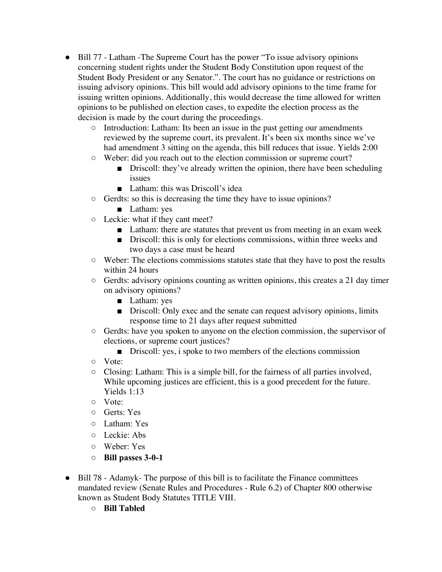- Bill 77 Latham -The Supreme Court has the power "To issue advisory opinions concerning student rights under the Student Body Constitution upon request of the Student Body President or any Senator.". The court has no guidance or restrictions on issuing advisory opinions. This bill would add advisory opinions to the time frame for issuing written opinions. Additionally, this would decrease the time allowed for written opinions to be published on election cases, to expedite the election process as the decision is made by the court during the proceedings.
	- Introduction: Latham: Its been an issue in the past getting our amendments reviewed by the supreme court, its prevalent. It's been six months since we've had amendment 3 sitting on the agenda, this bill reduces that issue. Yields 2:00
	- Weber: did you reach out to the election commission or supreme court?
		- Driscoll: they've already written the opinion, there have been scheduling issues
		- Latham: this was Driscoll's idea
	- Gerdts: so this is decreasing the time they have to issue opinions?
		- Latham: yes
	- Leckie: what if they cant meet?
		- Latham: there are statutes that prevent us from meeting in an exam week
		- Driscoll: this is only for elections commissions, within three weeks and two days a case must be heard
	- Weber: The elections commissions statutes state that they have to post the results within 24 hours
	- Gerdts: advisory opinions counting as written opinions, this creates a 21 day timer on advisory opinions?
		- Latham: yes
		- Driscoll: Only exec and the senate can request advisory opinions, limits response time to 21 days after request submitted
	- Gerdts: have you spoken to anyone on the election commission, the supervisor of elections, or supreme court justices?
		- Driscoll: yes, i spoke to two members of the elections commission
	- Vote:
	- Closing: Latham: This is a simple bill, for the fairness of all parties involved, While upcoming justices are efficient, this is a good precedent for the future. Yields 1:13
	- Vote:
	- Gerts: Yes
	- Latham: Yes
	- Leckie: Abs
	- Weber: Yes
	- **Bill passes 3-0-1**
- Bill 78 Adamyk- The purpose of this bill is to facilitate the Finance committees mandated review (Senate Rules and Procedures - Rule 6.2) of Chapter 800 otherwise known as Student Body Statutes TITLE VIII.
	- **Bill Tabled**